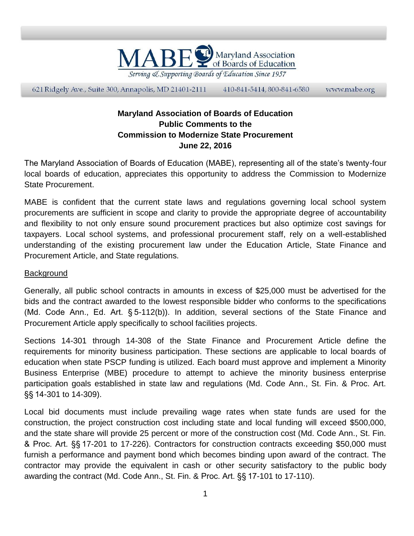

621 Ridgely Ave., Suite 300, Annapolis, MD 21401-2111 410-841-5414, 800-841-6580 www.mabe.org

## **Maryland Association of Boards of Education Public Comments to the Commission to Modernize State Procurement June 22, 2016**

The Maryland Association of Boards of Education (MABE), representing all of the state's twenty-four local boards of education, appreciates this opportunity to address the Commission to Modernize State Procurement.

MABE is confident that the current state laws and regulations governing local school system procurements are sufficient in scope and clarity to provide the appropriate degree of accountability and flexibility to not only ensure sound procurement practices but also optimize cost savings for taxpayers. Local school systems, and professional procurement staff, rely on a well-established understanding of the existing procurement law under the Education Article, State Finance and Procurement Article, and State regulations.

## **Background**

Generally, all public school contracts in amounts in excess of \$25,000 must be advertised for the bids and the contract awarded to the lowest responsible bidder who conforms to the specifications (Md. Code Ann., Ed. Art. § 5-112(b)). In addition, several sections of the State Finance and Procurement Article apply specifically to school facilities projects.

Sections 14-301 through 14-308 of the State Finance and Procurement Article define the requirements for minority business participation. These sections are applicable to local boards of education when state PSCP funding is utilized. Each board must approve and implement a Minority Business Enterprise (MBE) procedure to attempt to achieve the minority business enterprise participation goals established in state law and regulations (Md. Code Ann., St. Fin. & Proc. Art. §§ 14-301 to 14-309).

Local bid documents must include prevailing wage rates when state funds are used for the construction, the project construction cost including state and local funding will exceed \$500,000, and the state share will provide 25 percent or more of the construction cost (Md. Code Ann., St. Fin. & Proc. Art. §§ 17-201 to 17-226). Contractors for construction contracts exceeding \$50,000 must furnish a performance and payment bond which becomes binding upon award of the contract. The contractor may provide the equivalent in cash or other security satisfactory to the public body awarding the contract (Md. Code Ann., St. Fin. & Proc. Art. §§ 17-101 to 17-110).